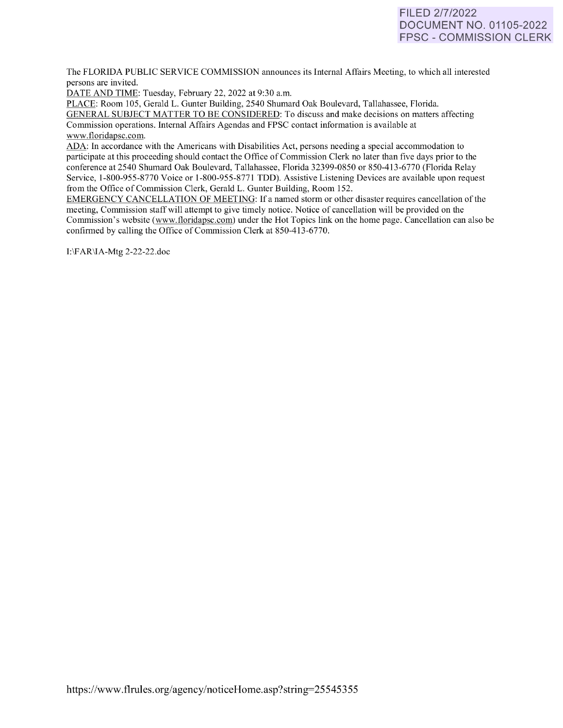# **FILED** 2/7/2022 **DOCUMENT NO. 01105-2022 FPSC - COMMISSION CLERK**

The FLORIDA PUBLIC SERVICE COMMISSION announces its Internal Affairs Meeting, to which all interested persons are invited.

DATE AND TIME: Tuesday, February 22, 2022 at 9:30 a.m.

PLACE: Room 105, Gerald L. Gunter Building, 2540 Shumard Oak Boulevard, Tallahassee, Florida. GENERAL SUBJECT MATTER TO BE CONSIDERED: To discuss and make decisions on matters affecting Commission operations. Internal Affairs Agendas and FPSC contact information is available at [www.floridapsc.com.](http://www.floridapsc.com/) 

ADA: In accordance with the Americans with Disabilities Act, persons needing a special accommodation to participate at this proceeding should contact the Office of Commission Clerk no later than five days prior to the conference at 2540 Shumard Oak Boulevard, Tallahassee, Florida 32399-0850 or 850-41 3-6770 (Florida Relay Service, 1-800-955-8770 Voice or 1-800-955-8771 TDD). Assistive Listening Devices are available upon request from the Office of Commission Clerk, Gerald L. Gunter Building, Room 152.

EMERGENCY CANCELLATION OF MEETING: If a named storm or other disaster requires cancellation of the meeting, Commission staff will attempt to give timely notice. Notice of cancellation will be provided on the Commission's website [\(www.f](http://www/)loridapsc.com) under the Hot Topics link on the home page. Cancellation can also be confirmed by calling the Office of Commission Clerk at 850-413-6770.

1:\FAR\lA-Mtg 2-22-22.doc